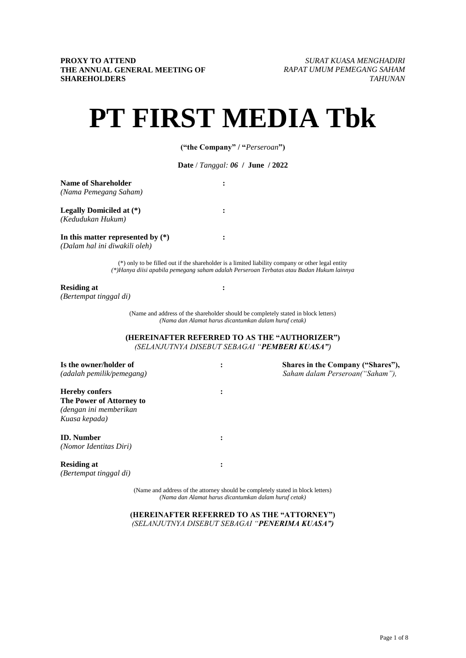# **PT FIRST MEDIA Tbk**

**("the Company" / "***Perseroan***")**

**Date** / *Tanggal: 06* **/ June / 2022**

**:**

**:**

**:**

**:**

**Name of Shareholder** *(Nama Pemegang Saham)*

**Legally Domiciled at (\*)** *(Kedudukan Hukum)*

**In this matter represented by (\*)** *(Dalam hal ini diwakili oleh)*

> (\*) only to be filled out if the shareholder is a limited liability company or other legal entity *(\*)Hanya diisi apabila pemegang saham adalah Perseroan Terbatas atau Badan Hukum lainnya*

#### **Residing at**

*(Bertempat tinggal di)*

(Name and address of the shareholder should be completely stated in block letters) *(Nama dan Alamat harus dicantumkan dalam huruf cetak)*

**(HEREINAFTER REFERRED TO AS THE "AUTHORIZER")** *(SELANJUTNYA DISEBUT SEBAGAI "PEMBERI KUASA")*

| Is the owner/holder of<br>(adalah pemilik/pemegang)                                          | ٠<br>$\bullet$ | Shares in the Company ("Shares"),<br>Saham dalam Perseroan("Saham"), |
|----------------------------------------------------------------------------------------------|----------------|----------------------------------------------------------------------|
| <b>Hereby confers</b><br>The Power of Attorney to<br>(dengan ini memberikan<br>Kuasa kepada) | $\bullet$      |                                                                      |
| <b>ID.</b> Number<br>(Nomor Identitas Diri)                                                  | $\bullet$      |                                                                      |
| <b>Residing at</b><br>(Bertempat tinggal di)                                                 | ٠<br>$\bullet$ |                                                                      |

(Name and address of the attorney should be completely stated in block letters) *(Nama dan Alamat harus dicantumkan dalam huruf cetak)*

**(HEREINAFTER REFERRED TO AS THE "ATTORNEY")** *(SELANJUTNYA DISEBUT SEBAGAI "PENERIMA KUASA")*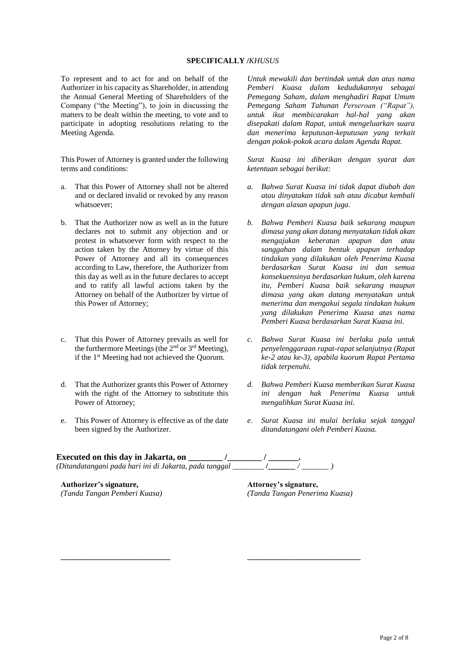#### **SPECIFICALLY /***KHUSUS*

To represent and to act for and on behalf of the Authorizer in his capacity as Shareholder, in attending the Annual General Meeting of Shareholders of the Company ("the Meeting"), to join in discussing the matters to be dealt within the meeting, to vote and to participate in adopting resolutions relating to the Meeting Agenda.

This Power of Attorney is granted under the following terms and conditions:

- a. That this Power of Attorney shall not be altered and or declared invalid or revoked by any reason whatsoever;
- b. That the Authorizer now as well as in the future declares not to submit any objection and or protest in whatsoever form with respect to the action taken by the Attorney by virtue of this Power of Attorney and all its consequences according to Law, therefore, the Authorizer from this day as well as in the future declares to accept and to ratify all lawful actions taken by the Attorney on behalf of the Authorizer by virtue of this Power of Attorney;
- c. That this Power of Attorney prevails as well for the furthermore Meetings (the  $2<sup>nd</sup>$  or  $3<sup>rd</sup>$  Meeting), if the 1st Meeting had not achieved the Quorum.
- d. That the Authorizer grants this Power of Attorney with the right of the Attorney to substitute this Power of Attorney;
- e. This Power of Attorney is effective as of the date been signed by the Authorizer.

*Untuk mewakili dan bertindak untuk dan atas nama Pemberi Kuasa dalam kedudukannya sebagai Pemegang Saham, dalam menghadiri Rapat Umum Pemegang Saham Tahunan Perseroan ("Rapat"), untuk ikut membicarakan hal-hal yang akan disepakati dalam Rapat, untuk mengeluarkan suara dan menerima keputusan-keputusan yang terkait dengan pokok-pokok acara dalam Agenda Rapat.*

*Surat Kuasa ini diberikan dengan syarat dan ketentuan sebagai berikut:*

- *a. Bahwa Surat Kuasa ini tidak dapat diubah dan atau dinyatakan tidak sah atau dicabut kembali dengan alasan apapun juga.*
- *b. Bahwa Pemberi Kuasa baik sekarang maupun dimasa yang akan datang menyatakan tidak akan mengajukan keberatan apapun dan atau sanggahan dalam bentuk apapun terhadap tindakan yang dilakukan oleh Penerima Kuasa berdasarkan Surat Kuasa ini dan semua konsekuensinya berdasarkan hukum, oleh karena itu, Pemberi Kuasa baik sekarang maupun dimasa yang akan datang menyatakan untuk menerima dan mengakui segala tindakan hukum yang dilakukan Penerima Kuasa atas nama Pemberi Kuasa berdasarkan Surat Kuasa ini.*
- *c. Bahwa Surat Kuasa ini berlaku pula untuk penyelenggaraan rapat-rapat selanjutnya (Rapat ke-2 atau ke-3), apabila kuorum Rapat Pertama tidak terpenuhi.*
- *d. Bahwa Pemberi Kuasa memberikan Surat Kuasa ini dengan hak Penerima Kuasa untuk mengalihkan Surat Kuasa ini.*
- *e. Surat Kuasa ini mulai berlaku sejak tanggal ditandatangani oleh Pemberi Kuasa.*

**Executed on this day in Jakarta, on \_\_\_\_\_\_\_\_ /\_\_\_\_\_\_\_\_ / \_\_\_\_\_\_\_.** *(Ditandatangani pada hari ini di Jakarta, pada tanggal* \_\_\_\_\_\_\_\_ **/\_\_\_\_\_\_\_** */ \_\_\_\_\_\_\_ )*

**\_\_\_\_\_\_\_\_\_\_\_\_\_\_\_\_\_\_\_\_\_\_\_\_\_\_\_\_ \_\_\_\_\_\_\_\_\_\_\_\_\_\_\_\_\_\_\_\_\_\_\_\_\_\_\_\_\_**

**Authorizer's signature,** *(Tanda Tangan Pemberi Kuasa)* **Attorney's signature,** *(Tanda Tangan Penerima Kuasa)*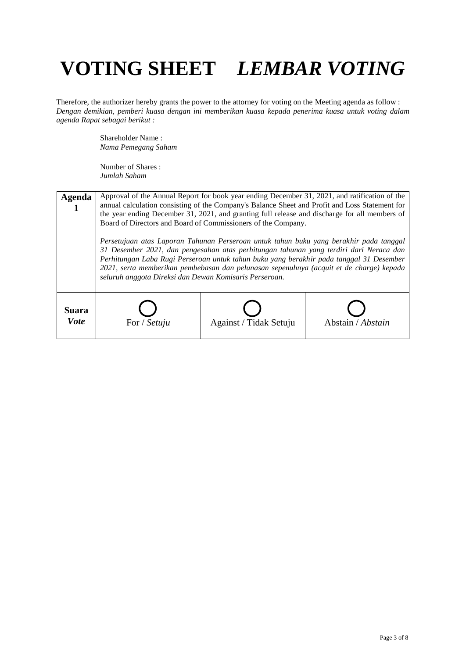Therefore, the authorizer hereby grants the power to the attorney for voting on the Meeting agenda as follow : *Dengan demikian, pemberi kuasa dengan ini memberikan kuasa kepada penerima kuasa untuk voting dalam agenda Rapat sebagai berikut :*

> Shareholder Name : *Nama Pemegang Saham*

| Agenda                       | Approval of the Annual Report for book year ending December 31, 2021, and ratification of the<br>annual calculation consisting of the Company's Balance Sheet and Profit and Loss Statement for<br>the year ending December 31, 2021, and granting full release and discharge for all members of<br>Board of Directors and Board of Commissioners of the Company.<br>Persetujuan atas Laporan Tahunan Perseroan untuk tahun buku yang berakhir pada tanggal<br>31 Desember 2021, dan pengesahan atas perhitungan tahunan yang terdiri dari Neraca dan<br>Perhitungan Laba Rugi Perseroan untuk tahun buku yang berakhir pada tanggal 31 Desember<br>2021, serta memberikan pembebasan dan pelunasan sepenuhnya (acquit et de charge) kepada<br>seluruh anggota Direksi dan Dewan Komisaris Perseroan. |                        |                   |
|------------------------------|-------------------------------------------------------------------------------------------------------------------------------------------------------------------------------------------------------------------------------------------------------------------------------------------------------------------------------------------------------------------------------------------------------------------------------------------------------------------------------------------------------------------------------------------------------------------------------------------------------------------------------------------------------------------------------------------------------------------------------------------------------------------------------------------------------|------------------------|-------------------|
| <b>Suara</b><br><b>V</b> ote | For / Setuju                                                                                                                                                                                                                                                                                                                                                                                                                                                                                                                                                                                                                                                                                                                                                                                          | Against / Tidak Setuju | Abstain / Abstain |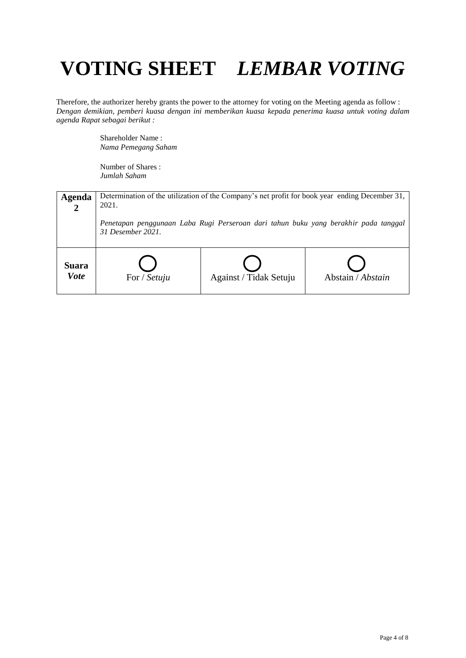Therefore, the authorizer hereby grants the power to the attorney for voting on the Meeting agenda as follow : *Dengan demikian, pemberi kuasa dengan ini memberikan kuasa kepada penerima kuasa untuk voting dalam agenda Rapat sebagai berikut :*

> Shareholder Name : *Nama Pemegang Saham*

| <b>Agenda</b>        | Determination of the utilization of the Company's net profit for book year ending December 31,<br>2021.<br>Penetapan penggunaan Laba Rugi Perseroan dari tahun buku yang berakhir pada tanggal<br>31 Desember 2021. |                        |                   |
|----------------------|---------------------------------------------------------------------------------------------------------------------------------------------------------------------------------------------------------------------|------------------------|-------------------|
| Suara<br><b>Vote</b> | For / Setuju                                                                                                                                                                                                        | Against / Tidak Setuju | Abstain / Abstain |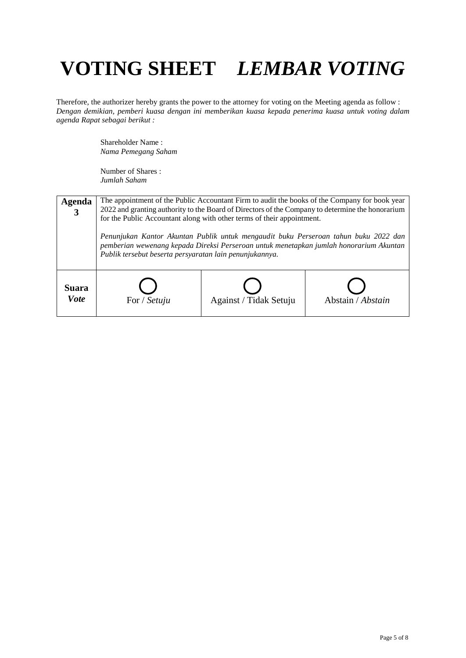Therefore, the authorizer hereby grants the power to the attorney for voting on the Meeting agenda as follow : *Dengan demikian, pemberi kuasa dengan ini memberikan kuasa kepada penerima kuasa untuk voting dalam agenda Rapat sebagai berikut :*

> Shareholder Name : *Nama Pemegang Saham*

| <b>Agenda</b>        | The appointment of the Public Accountant Firm to audit the books of the Company for book year<br>2022 and granting authority to the Board of Directors of the Company to determine the honorarium<br>for the Public Accountant along with other terms of their appointment.<br>Penunjukan Kantor Akuntan Publik untuk mengaudit buku Perseroan tahun buku 2022 dan<br>pemberian wewenang kepada Direksi Perseroan untuk menetapkan jumlah honorarium Akuntan<br>Publik tersebut beserta persyaratan lain penunjukannya. |                        |                   |
|----------------------|-------------------------------------------------------------------------------------------------------------------------------------------------------------------------------------------------------------------------------------------------------------------------------------------------------------------------------------------------------------------------------------------------------------------------------------------------------------------------------------------------------------------------|------------------------|-------------------|
| Suara<br><b>Vote</b> | For / Setuju                                                                                                                                                                                                                                                                                                                                                                                                                                                                                                            | Against / Tidak Setuju | Abstain / Abstain |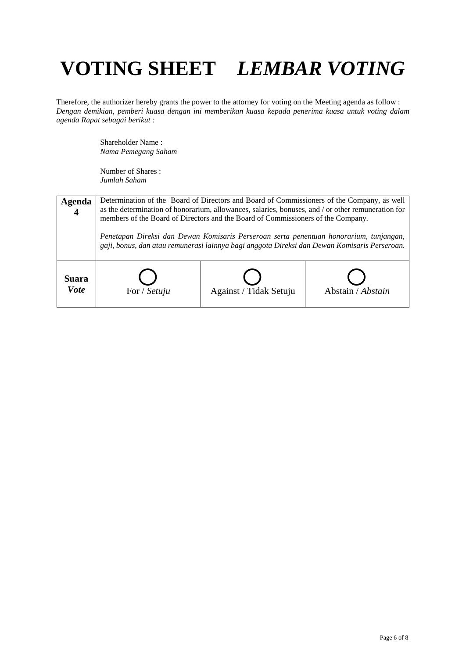Therefore, the authorizer hereby grants the power to the attorney for voting on the Meeting agenda as follow : *Dengan demikian, pemberi kuasa dengan ini memberikan kuasa kepada penerima kuasa untuk voting dalam agenda Rapat sebagai berikut :*

> Shareholder Name : *Nama Pemegang Saham*

| Agenda               | Determination of the Board of Directors and Board of Commissioners of the Company, as well<br>as the determination of honorarium, allowances, salaries, bonuses, and / or other remuneration for<br>members of the Board of Directors and the Board of Commissioners of the Company.<br>Penetapan Direksi dan Dewan Komisaris Perseroan serta penentuan honorarium, tunjangan,<br>gaji, bonus, dan atau remunerasi lainnya bagi anggota Direksi dan Dewan Komisaris Perseroan. |                        |                   |
|----------------------|--------------------------------------------------------------------------------------------------------------------------------------------------------------------------------------------------------------------------------------------------------------------------------------------------------------------------------------------------------------------------------------------------------------------------------------------------------------------------------|------------------------|-------------------|
| Suara<br><b>Vote</b> | For / Setuju                                                                                                                                                                                                                                                                                                                                                                                                                                                                   | Against / Tidak Setuju | Abstain / Abstain |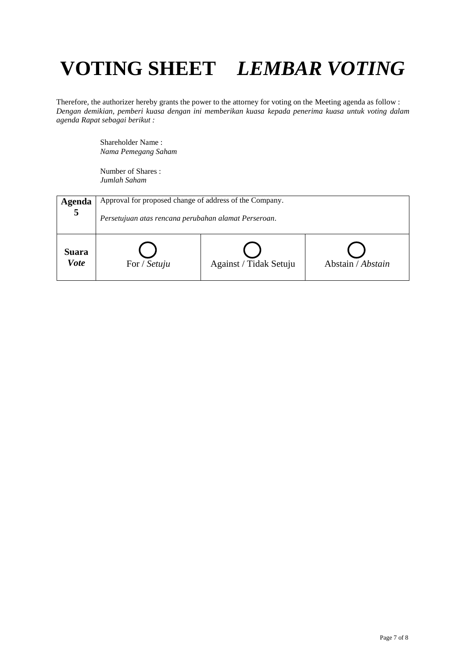Therefore, the authorizer hereby grants the power to the attorney for voting on the Meeting agenda as follow : *Dengan demikian, pemberi kuasa dengan ini memberikan kuasa kepada penerima kuasa untuk voting dalam agenda Rapat sebagai berikut :*

> Shareholder Name : *Nama Pemegang Saham*

| Agenda               | Approval for proposed change of address of the Company. |                        |                   |
|----------------------|---------------------------------------------------------|------------------------|-------------------|
| 5                    | Persetujuan atas rencana perubahan alamat Perseroan.    |                        |                   |
| Suara<br><b>Vote</b> | For / Setuju                                            | Against / Tidak Setuju | Abstain / Abstain |